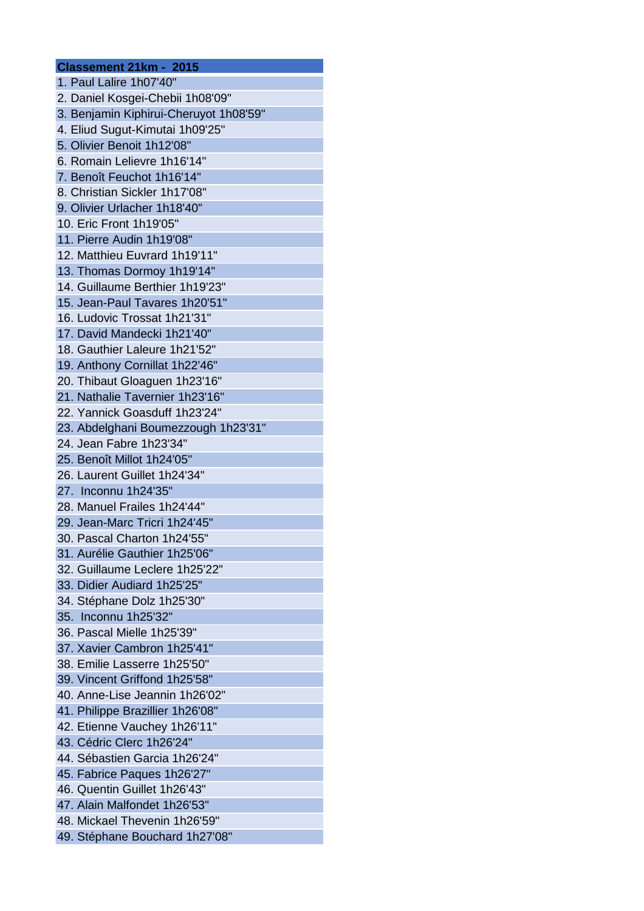| Classement 21km - 2015                 |
|----------------------------------------|
| 1. Paul Lalire 1h07'40"                |
| 2. Daniel Kosgei-Chebii 1h08'09"       |
| 3. Benjamin Kiphirui-Cheruyot 1h08'59" |
| 4. Eliud Sugut-Kimutai 1h09'25"        |
| 5. Olivier Benoit 1h12'08"             |
| 6. Romain Lelievre 1h16'14"            |
| 7. Benoît Feuchot 1h16'14"             |
| 8. Christian Sickler 1h17'08"          |
| 9. Olivier Urlacher 1h18'40"           |
| 10. Eric Front 1h19'05"                |
| 11. Pierre Audin 1h19'08"              |
| 12. Matthieu Euvrard 1h19'11"          |
| 13. Thomas Dormoy 1h19'14"             |
| 14. Guillaume Berthier 1h19'23"        |
| 15. Jean-Paul Tavares 1h20'51"         |
| 16. Ludovic Trossat 1h21'31"           |
| 17. David Mandecki 1h21'40"            |
| 18. Gauthier Laleure 1h21'52"          |
| 19. Anthony Cornillat 1h22'46"         |
| 20. Thibaut Gloaguen 1h23'16"          |
| 21. Nathalie Tavernier 1h23'16"        |
| 22. Yannick Goasduff 1h23'24"          |
| 23. Abdelghani Boumezzough 1h23'31"    |
| 24. Jean Fabre 1h23'34"                |
| 25. Benoît Millot 1h24'05"             |
| 26. Laurent Guillet 1h24'34"           |
| 27. Inconnu 1h24'35"                   |
| 28. Manuel Frailes 1h24'44"            |
| 29. Jean-Marc Tricri 1h24'45"          |
| 30. Pascal Charton 1h24'55"            |
| 31. Aurélie Gauthier 1h25'06"          |
| 32. Guillaume Leclere 1h25'22"         |
| 33. Didier Audiard 1h25'25"            |
| 34. Stéphane Dolz 1h25'30"             |
| 35. Inconnu 1h25'32"                   |
| 36. Pascal Mielle 1h25'39"             |
| 37. Xavier Cambron 1h25'41"            |
| 38. Emilie Lasserre 1h25'50"           |
| 39. Vincent Griffond 1h25'58"          |
| 40. Anne-Lise Jeannin 1h26'02"         |
| 41. Philippe Brazillier 1h26'08"       |
| 42. Etienne Vauchey 1h26'11"           |
| 43. Cédric Clerc 1h26'24"              |
| 44. Sébastien Garcia 1h26'24"          |
| 45. Fabrice Paques 1h26'27"            |
| 46. Quentin Guillet 1h26'43"           |
| 47. Alain Malfondet 1h26'53"           |
| 48. Mickael Thevenin 1h26'59"          |
| 49. Stéphane Bouchard 1h27'08"         |
|                                        |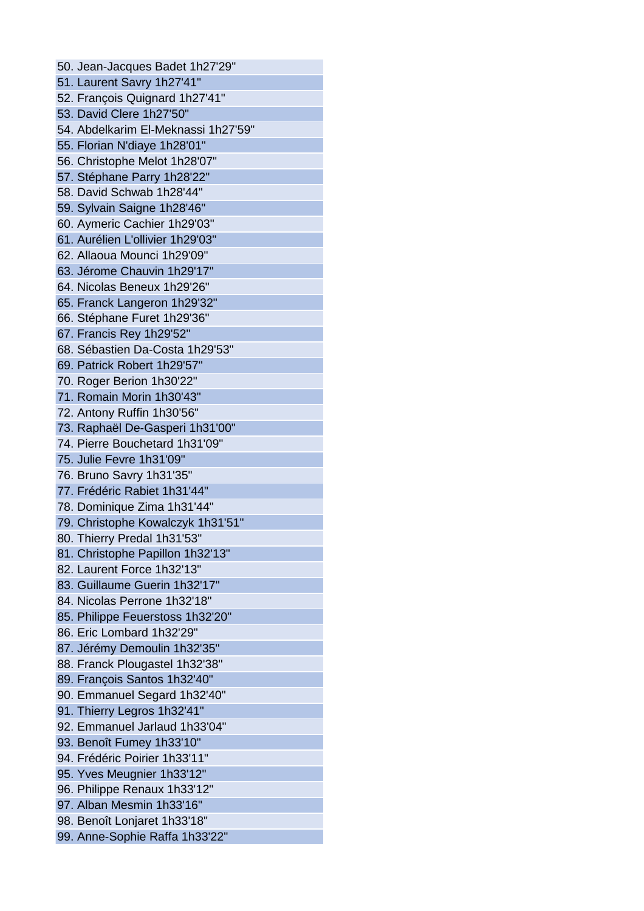50. Jean-Jacques Badet 1h27'29" 51. Laurent Savry 1h27'41" 52. François Quignard 1h27'41" 53. David Clere 1h27'50" 54. Abdelkarim El-Meknassi 1h27'59" 55. Florian N'diaye 1h28'01" 56. Christophe Melot 1h28'07" 57. Stéphane Parry 1h28'22" 58. David Schwab 1h28'44" 59. Sylvain Saigne 1h28'46" 60. Aymeric Cachier 1h29'03" 61. Aurélien L'ollivier 1h29'03" 62. Allaoua Mounci 1h29'09" 63. Jérome Chauvin 1h29'17" 64. Nicolas Beneux 1h29'26" 65. Franck Langeron 1h29'32" 66. Stéphane Furet 1h29'36" 67. Francis Rey 1h29'52" 68. Sébastien Da-Costa 1h29'53" 69. Patrick Robert 1h29'57" 70. Roger Berion 1h30'22" 71. Romain Morin 1h30'43" 72. Antony Ruffin 1h30'56" 73. Raphaël De-Gasperi 1h31'00" 74. Pierre Bouchetard 1h31'09" 75. Julie Fevre 1h31'09" 76. Bruno Savry 1h31'35" 77. Frédéric Rabiet 1h31'44" 78. Dominique Zima 1h31'44" 79. Christophe Kowalczyk 1h31'51" 80. Thierry Predal 1h31'53" 81. Christophe Papillon 1h32'13" 82. Laurent Force 1h32'13" 83. Guillaume Guerin 1h32'17" 84. Nicolas Perrone 1h32'18" 85. Philippe Feuerstoss 1h32'20" 86. Eric Lombard 1h32'29" 87. Jérémy Demoulin 1h32'35" 88. Franck Plougastel 1h32'38" 89. François Santos 1h32'40" 90. Emmanuel Segard 1h32'40" 91. Thierry Legros 1h32'41" 92. Emmanuel Jarlaud 1h33'04" 93. Benoît Fumey 1h33'10" 94. Frédéric Poirier 1h33'11" 95. Yves Meugnier 1h33'12" 96. Philippe Renaux 1h33'12" 97. Alban Mesmin 1h33'16" 98. Benoît Lonjaret 1h33'18" 99. Anne-Sophie Raffa 1h33'22"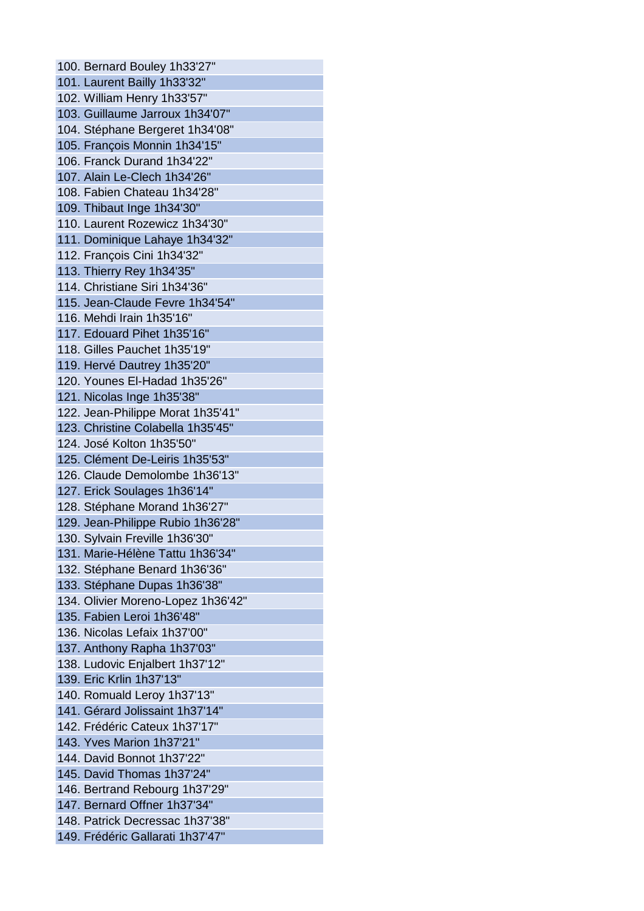100. Bernard Bouley 1h33'27" 101. Laurent Bailly 1h33'32" 102. William Henry 1h33'57" 103. Guillaume Jarroux 1h34'07" 104. Stéphane Bergeret 1h34'08" 105. François Monnin 1h34'15" 106. Franck Durand 1h34'22" 107. Alain Le-Clech 1h34'26" 108. Fabien Chateau 1h34'28" 109. Thibaut Inge 1h34'30" 110. Laurent Rozewicz 1h34'30" 111. Dominique Lahaye 1h34'32" 112. François Cini 1h34'32" 113. Thierry Rey 1h34'35" 114. Christiane Siri 1h34'36" 115. Jean-Claude Fevre 1h34'54" 116. Mehdi Irain 1h35'16" 117. Edouard Pihet 1h35'16" 118. Gilles Pauchet 1h35'19" 119. Hervé Dautrey 1h35'20" 120. Younes El-Hadad 1h35'26" 121. Nicolas Inge 1h35'38" 122. Jean-Philippe Morat 1h35'41" 123. Christine Colabella 1h35'45" 124. José Kolton 1h35'50" 125. Clément De-Leiris 1h35'53" 126. Claude Demolombe 1h36'13" 127. Erick Soulages 1h36'14" 128. Stéphane Morand 1h36'27" 129. Jean-Philippe Rubio 1h36'28" 130. Sylvain Freville 1h36'30" 131. Marie-Hélène Tattu 1h36'34" 132. Stéphane Benard 1h36'36" 133. Stéphane Dupas 1h36'38" 134. Olivier Moreno-Lopez 1h36'42" 135. Fabien Leroi 1h36'48" 136. Nicolas Lefaix 1h37'00" 137. Anthony Rapha 1h37'03" 138. Ludovic Enjalbert 1h37'12" 139. Eric Krlin 1h37'13" 140. Romuald Leroy 1h37'13" 141. Gérard Jolissaint 1h37'14" 142. Frédéric Cateux 1h37'17" 143. Yves Marion 1h37'21" 144. David Bonnot 1h37'22" 145. David Thomas 1h37'24" 146. Bertrand Rebourg 1h37'29" 147. Bernard Offner 1h37'34" 148. Patrick Decressac 1h37'38" 149. Frédéric Gallarati 1h37'47"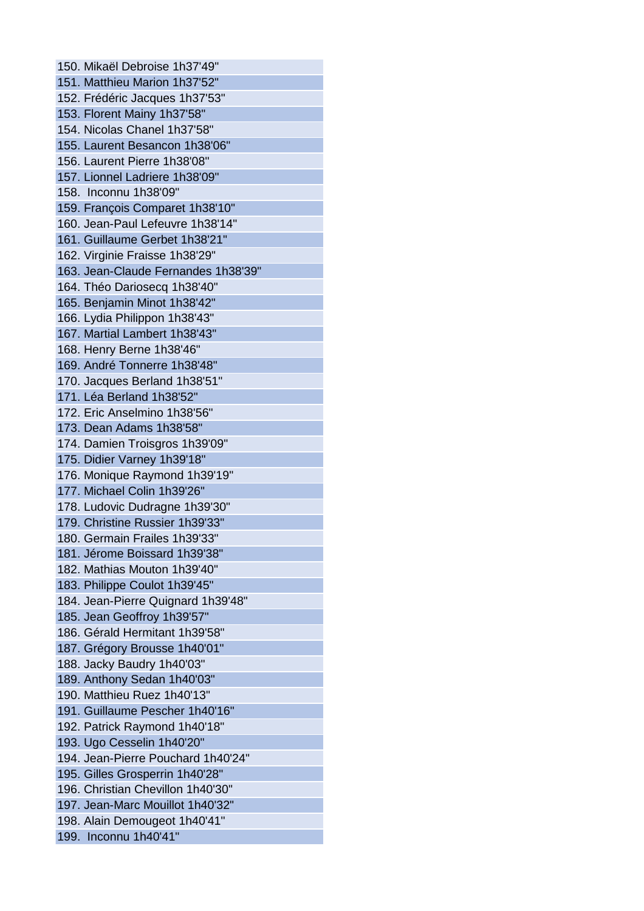150. Mikaël Debroise 1h37'49" 151. Matthieu Marion 1h37'52" 152. Frédéric Jacques 1h37'53" 153. Florent Mainy 1h37'58" 154. Nicolas Chanel 1h37'58" 155. Laurent Besancon 1h38'06" 156. Laurent Pierre 1h38'08" 157. Lionnel Ladriere 1h38'09" 158. Inconnu 1h38'09" 159. François Comparet 1h38'10" 160. Jean-Paul Lefeuvre 1h38'14" 161. Guillaume Gerbet 1h38'21" 162. Virginie Fraisse 1h38'29" 163. Jean-Claude Fernandes 1h38'39" 164. Théo Dariosecq 1h38'40" 165. Benjamin Minot 1h38'42" 166. Lydia Philippon 1h38'43" 167. Martial Lambert 1h38'43" 168. Henry Berne 1h38'46" 169. André Tonnerre 1h38'48" 170. Jacques Berland 1h38'51" 171. Léa Berland 1h38'52" 172. Eric Anselmino 1h38'56" 173. Dean Adams 1h38'58" 174. Damien Troisgros 1h39'09" 175. Didier Varney 1h39'18" 176. Monique Raymond 1h39'19" 177. Michael Colin 1h39'26" 178. Ludovic Dudragne 1h39'30" 179. Christine Russier 1h39'33" 180. Germain Frailes 1h39'33" 181. Jérome Boissard 1h39'38" 182. Mathias Mouton 1h39'40" 183. Philippe Coulot 1h39'45" 184. Jean-Pierre Quignard 1h39'48" 185. Jean Geoffroy 1h39'57" 186. Gérald Hermitant 1h39'58" 187. Grégory Brousse 1h40'01" 188. Jacky Baudry 1h40'03" 189. Anthony Sedan 1h40'03" 190. Matthieu Ruez 1h40'13" 191. Guillaume Pescher 1h40'16" 192. Patrick Raymond 1h40'18" 193. Ugo Cesselin 1h40'20" 194. Jean-Pierre Pouchard 1h40'24" 195. Gilles Grosperrin 1h40'28" 196. Christian Chevillon 1h40'30" 197. Jean-Marc Mouillot 1h40'32" 198. Alain Demougeot 1h40'41" 199. Inconnu 1h40'41"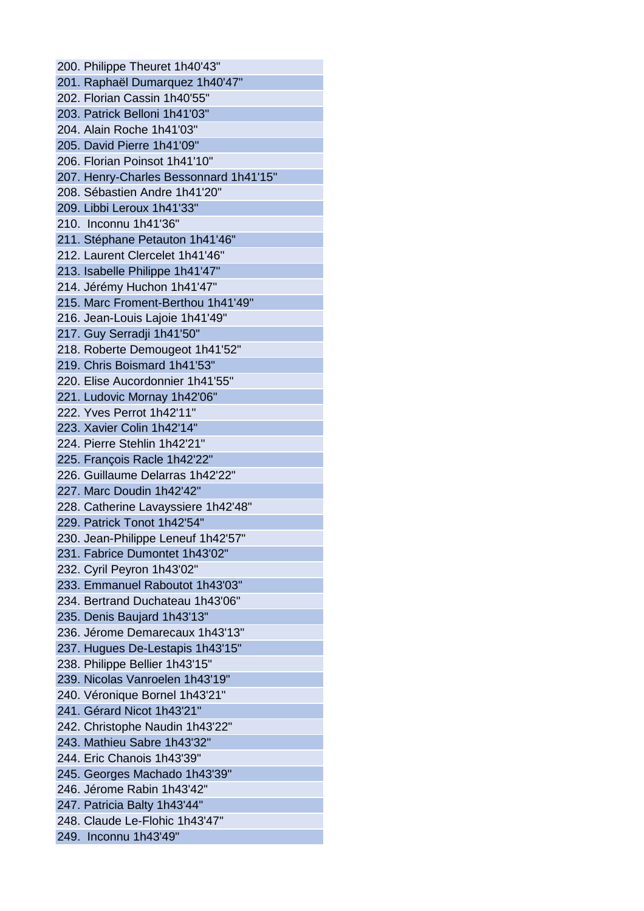200. Philippe Theuret 1h40'43" 201. Raphaël Dumarquez 1h40'47" 202. Florian Cassin 1h40'55" 203. Patrick Belloni 1h41'03" 204. Alain Roche 1h41'03" 205. David Pierre 1h41'09" 206. Florian Poinsot 1h41'10" 207. Henry-Charles Bessonnard 1h41'15" 208. Sébastien Andre 1h41'20" 209. Libbi Leroux 1h41'33" 210. Inconnu 1h41'36" 211. Stéphane Petauton 1h41'46" 212. Laurent Clercelet 1h41'46" 213. Isabelle Philippe 1h41'47" 214. Jérémy Huchon 1h41'47" 215. Marc Froment-Berthou 1h41'49" 216. Jean-Louis Lajoie 1h41'49" 217. Guy Serradji 1h41'50" 218. Roberte Demougeot 1h41'52" 219. Chris Boismard 1h41'53" 220. Elise Aucordonnier 1h41'55" 221. Ludovic Mornay 1h42'06" 222. Yves Perrot 1h42'11" 223. Xavier Colin 1h42'14" 224. Pierre Stehlin 1h42'21" 225. François Racle 1h42'22" 226. Guillaume Delarras 1h42'22" 227. Marc Doudin 1h42'42" 228. Catherine Lavayssiere 1h42'48" 229. Patrick Tonot 1h42'54" 230. Jean-Philippe Leneuf 1h42'57" 231. Fabrice Dumontet 1h43'02" 232. Cyril Peyron 1h43'02" 233. Emmanuel Raboutot 1h43'03" 234. Bertrand Duchateau 1h43'06" 235. Denis Baujard 1h43'13" 236. Jérome Demarecaux 1h43'13" 237. Hugues De-Lestapis 1h43'15" 238. Philippe Bellier 1h43'15" 239. Nicolas Vanroelen 1h43'19" 240. Véronique Bornel 1h43'21" 241. Gérard Nicot 1h43'21" 242. Christophe Naudin 1h43'22" 243. Mathieu Sabre 1h43'32" 244. Eric Chanois 1h43'39" 245. Georges Machado 1h43'39" 246. Jérome Rabin 1h43'42" 247. Patricia Balty 1h43'44" 248. Claude Le-Flohic 1h43'47" 249. Inconnu 1h43'49"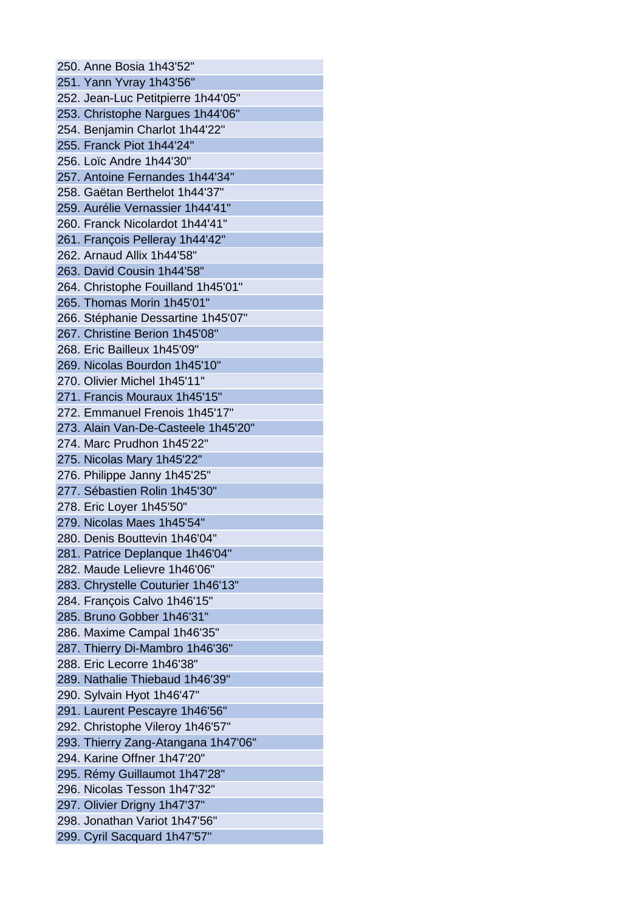250. Anne Bosia 1h43'52" 251. Yann Yvray 1h43'56" 252. Jean-Luc Petitpierre 1h44'05" 253. Christophe Nargues 1h44'06" 254. Benjamin Charlot 1h44'22" 255. Franck Piot 1h44'24" 256. Loïc Andre 1h44'30" 257. Antoine Fernandes 1h44'34" 258. Gaëtan Berthelot 1h44'37" 259. Aurélie Vernassier 1h44'41" 260. Franck Nicolardot 1h44'41" 261. François Pelleray 1h44'42" 262. Arnaud Allix 1h44'58" 263. David Cousin 1h44'58" 264. Christophe Fouilland 1h45'01" 265. Thomas Morin 1h45'01" 266. Stéphanie Dessartine 1h45'07" 267. Christine Berion 1h45'08" 268. Eric Bailleux 1h45'09" 269. Nicolas Bourdon 1h45'10" 270. Olivier Michel 1h45'11" 271. Francis Mouraux 1h45'15" 272. Emmanuel Frenois 1h45'17" 273. Alain Van-De-Casteele 1h45'20" 274. Marc Prudhon 1h45'22" 275. Nicolas Mary 1h45'22" 276. Philippe Janny 1h45'25" 277. Sébastien Rolin 1h45'30" 278. Eric Loyer 1h45'50" 279. Nicolas Maes 1h45'54" 280. Denis Bouttevin 1h46'04" 281. Patrice Deplanque 1h46'04" 282. Maude Lelievre 1h46'06" 283. Chrystelle Couturier 1h46'13" 284. François Calvo 1h46'15" 285. Bruno Gobber 1h46'31" 286. Maxime Campal 1h46'35" 287. Thierry Di-Mambro 1h46'36" 288. Eric Lecorre 1h46'38" 289. Nathalie Thiebaud 1h46'39" 290. Sylvain Hyot 1h46'47" 291. Laurent Pescayre 1h46'56" 292. Christophe Vileroy 1h46'57" 293. Thierry Zang-Atangana 1h47'06" 294. Karine Offner 1h47'20" 295. Rémy Guillaumot 1h47'28" 296. Nicolas Tesson 1h47'32" 297. Olivier Drigny 1h47'37" 298. Jonathan Variot 1h47'56" 299. Cyril Sacquard 1h47'57"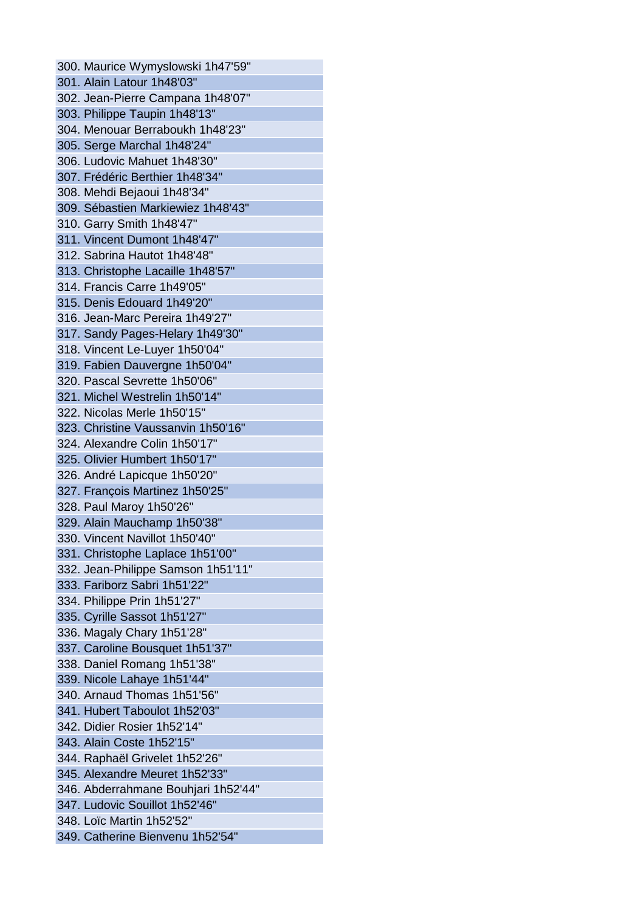300. Maurice Wymyslowski 1h47'59" 301. Alain Latour 1h48'03" 302. Jean-Pierre Campana 1h48'07" 303. Philippe Taupin 1h48'13" 304. Menouar Berraboukh 1h48'23" 305. Serge Marchal 1h48'24" 306. Ludovic Mahuet 1h48'30" 307. Frédéric Berthier 1h48'34" 308. Mehdi Bejaoui 1h48'34" 309. Sébastien Markiewiez 1h48'43" 310. Garry Smith 1h48'47" 311. Vincent Dumont 1h48'47" 312. Sabrina Hautot 1h48'48" 313. Christophe Lacaille 1h48'57" 314. Francis Carre 1h49'05" 315. Denis Edouard 1h49'20" 316. Jean-Marc Pereira 1h49'27" 317. Sandy Pages-Helary 1h49'30" 318. Vincent Le-Luyer 1h50'04" 319. Fabien Dauvergne 1h50'04" 320. Pascal Sevrette 1h50'06" 321. Michel Westrelin 1h50'14" 322. Nicolas Merle 1h50'15" 323. Christine Vaussanvin 1h50'16" 324. Alexandre Colin 1h50'17" 325. Olivier Humbert 1h50'17" 326. André Lapicque 1h50'20" 327. François Martinez 1h50'25" 328. Paul Maroy 1h50'26" 329. Alain Mauchamp 1h50'38" 330. Vincent Navillot 1h50'40" 331. Christophe Laplace 1h51'00" 332. Jean-Philippe Samson 1h51'11" 333. Fariborz Sabri 1h51'22" 334. Philippe Prin 1h51'27" 335. Cyrille Sassot 1h51'27" 336. Magaly Chary 1h51'28" 337. Caroline Bousquet 1h51'37" 338. Daniel Romang 1h51'38" 339. Nicole Lahaye 1h51'44" 340. Arnaud Thomas 1h51'56" 341. Hubert Taboulot 1h52'03" 342. Didier Rosier 1h52'14" 343. Alain Coste 1h52'15" 344. Raphaël Grivelet 1h52'26" 345. Alexandre Meuret 1h52'33" 346. Abderrahmane Bouhjari 1h52'44" 347. Ludovic Souillot 1h52'46" 348. Loïc Martin 1h52'52" 349. Catherine Bienvenu 1h52'54"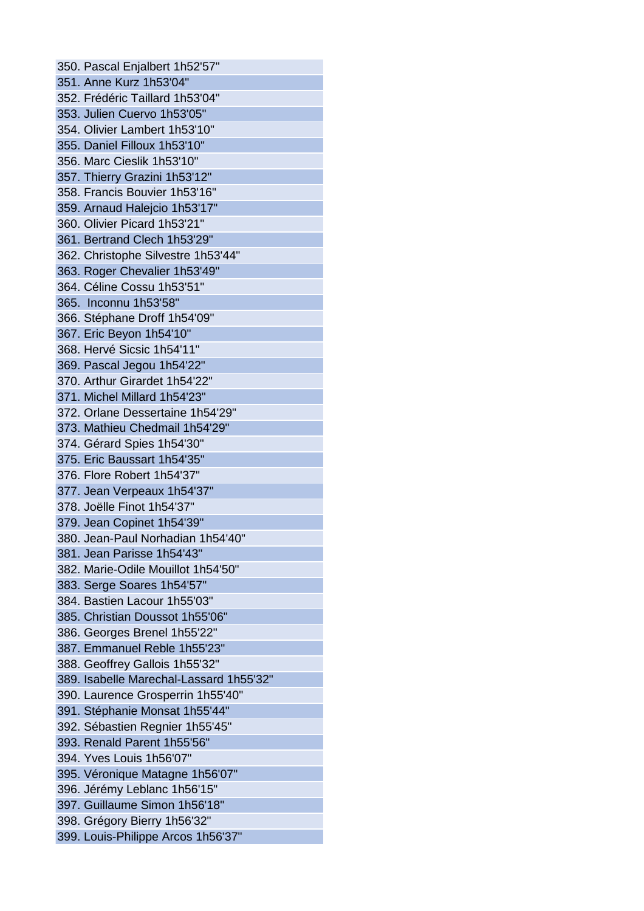350. Pascal Enjalbert 1h52'57" 351. Anne Kurz 1h53'04" 352. Frédéric Taillard 1h53'04" 353. Julien Cuervo 1h53'05" 354. Olivier Lambert 1h53'10" 355. Daniel Filloux 1h53'10" 356. Marc Cieslik 1h53'10" 357. Thierry Grazini 1h53'12" 358. Francis Bouvier 1h53'16" 359. Arnaud Halejcio 1h53'17" 360. Olivier Picard 1h53'21" 361. Bertrand Clech 1h53'29" 362. Christophe Silvestre 1h53'44" 363. Roger Chevalier 1h53'49" 364. Céline Cossu 1h53'51" 365. Inconnu 1h53'58" 366. Stéphane Droff 1h54'09" 367. Eric Beyon 1h54'10" 368. Hervé Sicsic 1h54'11" 369. Pascal Jegou 1h54'22" 370. Arthur Girardet 1h54'22" 371. Michel Millard 1h54'23" 372. Orlane Dessertaine 1h54'29" 373. Mathieu Chedmail 1h54'29" 374. Gérard Spies 1h54'30" 375. Eric Baussart 1h54'35" 376. Flore Robert 1h54'37" 377. Jean Verpeaux 1h54'37" 378. Joëlle Finot 1h54'37" 379. Jean Copinet 1h54'39" 380. Jean-Paul Norhadian 1h54'40" 381. Jean Parisse 1h54'43" 382. Marie-Odile Mouillot 1h54'50" 383. Serge Soares 1h54'57" 384. Bastien Lacour 1h55'03" 385. Christian Doussot 1h55'06" 386. Georges Brenel 1h55'22" 387. Emmanuel Reble 1h55'23" 388. Geoffrey Gallois 1h55'32" 389. Isabelle Marechal-Lassard 1h55'32" 390. Laurence Grosperrin 1h55'40" 391. Stéphanie Monsat 1h55'44" 392. Sébastien Regnier 1h55'45" 393. Renald Parent 1h55'56" 394. Yves Louis 1h56'07" 395. Véronique Matagne 1h56'07" 396. Jérémy Leblanc 1h56'15" 397. Guillaume Simon 1h56'18" 398. Grégory Bierry 1h56'32" 399. Louis-Philippe Arcos 1h56'37"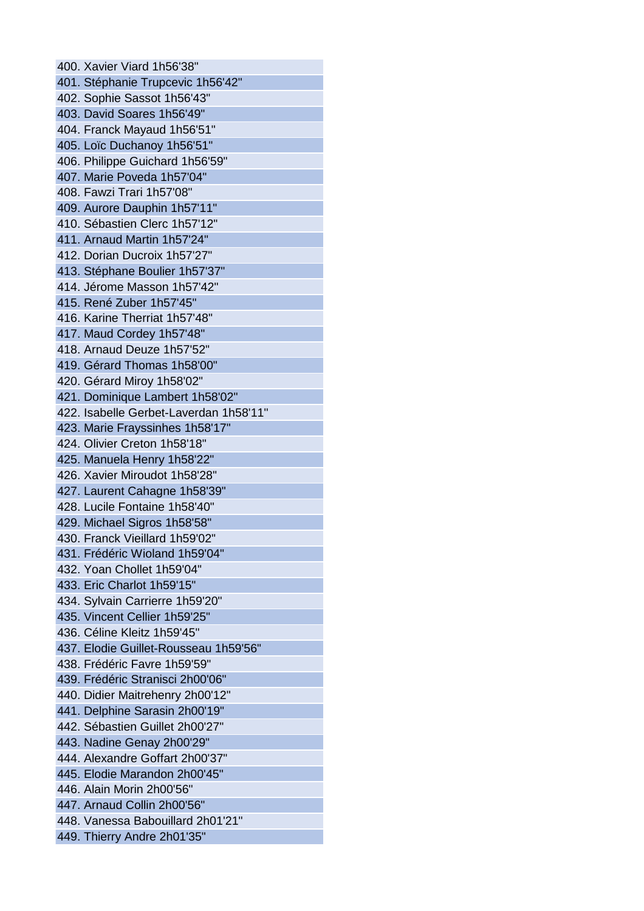400. Xavier Viard 1h56'38" 401. Stéphanie Trupcevic 1h56'42" 402. Sophie Sassot 1h56'43" 403. David Soares 1h56'49" 404. Franck Mayaud 1h56'51" 405. Loïc Duchanoy 1h56'51" 406. Philippe Guichard 1h56'59" 407. Marie Poveda 1h57'04" 408. Fawzi Trari 1h57'08" 409. Aurore Dauphin 1h57'11" 410. Sébastien Clerc 1h57'12" 411. Arnaud Martin 1h57'24" 412. Dorian Ducroix 1h57'27" 413. Stéphane Boulier 1h57'37" 414. Jérome Masson 1h57'42" 415. René Zuber 1h57'45" 416. Karine Therriat 1h57'48" 417. Maud Cordey 1h57'48" 418. Arnaud Deuze 1h57'52" 419. Gérard Thomas 1h58'00" 420. Gérard Miroy 1h58'02" 421. Dominique Lambert 1h58'02" 422. Isabelle Gerbet-Laverdan 1h58'11" 423. Marie Frayssinhes 1h58'17" 424. Olivier Creton 1h58'18" 425. Manuela Henry 1h58'22" 426. Xavier Miroudot 1h58'28" 427. Laurent Cahagne 1h58'39" 428. Lucile Fontaine 1h58'40" 429. Michael Sigros 1h58'58" 430. Franck Vieillard 1h59'02" 431. Frédéric Wioland 1h59'04" 432. Yoan Chollet 1h59'04" 433. Eric Charlot 1h59'15" 434. Sylvain Carrierre 1h59'20" 435. Vincent Cellier 1h59'25" 436. Céline Kleitz 1h59'45" 437. Elodie Guillet-Rousseau 1h59'56" 438. Frédéric Favre 1h59'59" 439. Frédéric Stranisci 2h00'06" 440. Didier Maitrehenry 2h00'12" 441. Delphine Sarasin 2h00'19" 442. Sébastien Guillet 2h00'27" 443. Nadine Genay 2h00'29" 444. Alexandre Goffart 2h00'37" 445. Elodie Marandon 2h00'45" 446. Alain Morin 2h00'56" 447. Arnaud Collin 2h00'56" 448. Vanessa Babouillard 2h01'21" 449. Thierry Andre 2h01'35"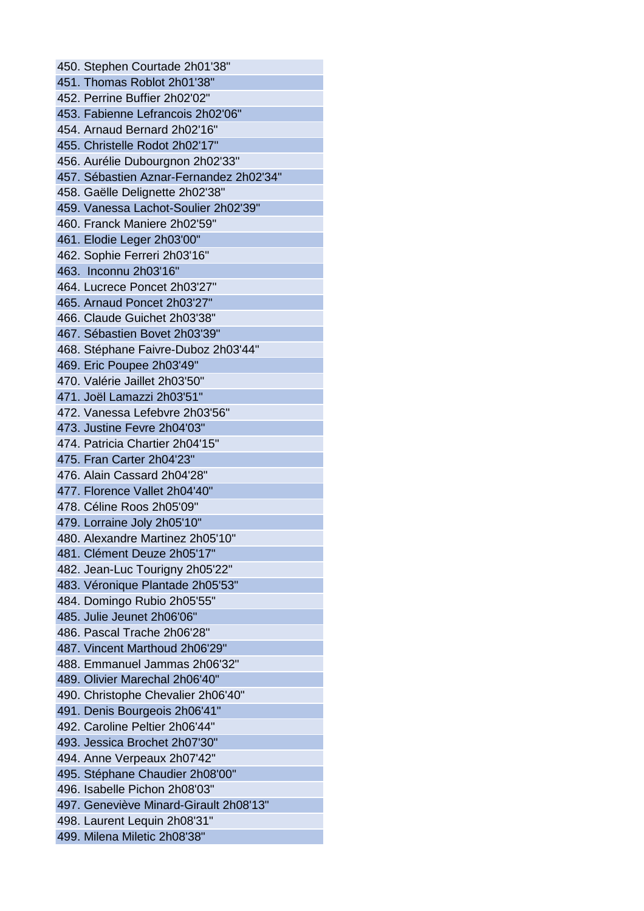450. Stephen Courtade 2h01'38" 451. Thomas Roblot 2h01'38" 452. Perrine Buffier 2h02'02" 453. Fabienne Lefrancois 2h02'06" 454. Arnaud Bernard 2h02'16" 455. Christelle Rodot 2h02'17" 456. Aurélie Dubourgnon 2h02'33" 457. Sébastien Aznar-Fernandez 2h02'34" 458. Gaëlle Delignette 2h02'38" 459. Vanessa Lachot-Soulier 2h02'39" 460. Franck Maniere 2h02'59" 461. Elodie Leger 2h03'00" 462. Sophie Ferreri 2h03'16" 463. Inconnu 2h03'16" 464. Lucrece Poncet 2h03'27" 465. Arnaud Poncet 2h03'27" 466. Claude Guichet 2h03'38" 467. Sébastien Bovet 2h03'39" 468. Stéphane Faivre-Duboz 2h03'44" 469. Eric Poupee 2h03'49" 470. Valérie Jaillet 2h03'50" 471. Joël Lamazzi 2h03'51" 472. Vanessa Lefebvre 2h03'56" 473. Justine Fevre 2h04'03" 474. Patricia Chartier 2h04'15" 475. Fran Carter 2h04'23" 476. Alain Cassard 2h04'28" 477. Florence Vallet 2h04'40" 478. Céline Roos 2h05'09" 479. Lorraine Joly 2h05'10" 480. Alexandre Martinez 2h05'10" 481. Clément Deuze 2h05'17" 482. Jean-Luc Tourigny 2h05'22" 483. Véronique Plantade 2h05'53" 484. Domingo Rubio 2h05'55" 485. Julie Jeunet 2h06'06" 486. Pascal Trache 2h06'28" 487. Vincent Marthoud 2h06'29" 488. Emmanuel Jammas 2h06'32" 489. Olivier Marechal 2h06'40" 490. Christophe Chevalier 2h06'40" 491. Denis Bourgeois 2h06'41" 492. Caroline Peltier 2h06'44" 493. Jessica Brochet 2h07'30" 494. Anne Verpeaux 2h07'42" 495. Stéphane Chaudier 2h08'00" 496. Isabelle Pichon 2h08'03" 497. Geneviève Minard-Girault 2h08'13" 498. Laurent Lequin 2h08'31" 499. Milena Miletic 2h08'38"